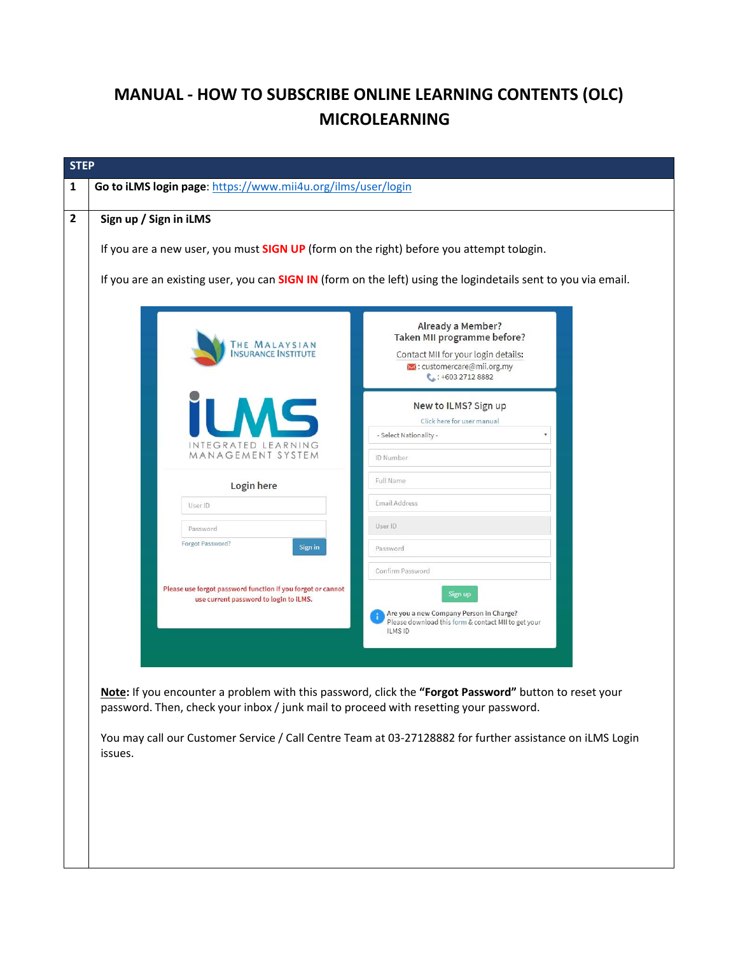## **MANUAL ‐ HOW TO SUBSCRIBE ONLINE LEARNING CONTENTS (OLC) MICROLEARNING**

|                                                                                                       | Already a Member?<br>Taken MII programme before?                                                                              |  |
|-------------------------------------------------------------------------------------------------------|-------------------------------------------------------------------------------------------------------------------------------|--|
| THE MALAYSIAN<br><b>NSURANCE INSTITUTE</b>                                                            | Contact MII for your login details:<br>M: customercare@mii.org.my<br>$\bullet$ : +603 2712 8882                               |  |
|                                                                                                       | New to ILMS? Sign up<br>Click here for user manual<br>- Select Nationality -                                                  |  |
| INTEGRATED LEARNING<br>MANAGEMENT SYSTEM                                                              | ID Number                                                                                                                     |  |
| Login here                                                                                            | Full Name                                                                                                                     |  |
| User ID                                                                                               | Email Address                                                                                                                 |  |
| Password<br>Forgot Password?                                                                          | User ID                                                                                                                       |  |
| Sign in                                                                                               | Password                                                                                                                      |  |
| Please use forgot password function if you forgot or cannot<br>use current password to login to iLMS. | Confirm Password<br>Sign up<br>Are you a new Company Person in Charge?<br>Please download this form & contact MII to get your |  |
|                                                                                                       | <b>ILMS ID</b>                                                                                                                |  |
|                                                                                                       |                                                                                                                               |  |
|                                                                                                       | Note: If you encounter a problem with this password, click the "Forgot Password" button to reset your                         |  |
| password. Then, check your inbox / junk mail to proceed with resetting your password.                 |                                                                                                                               |  |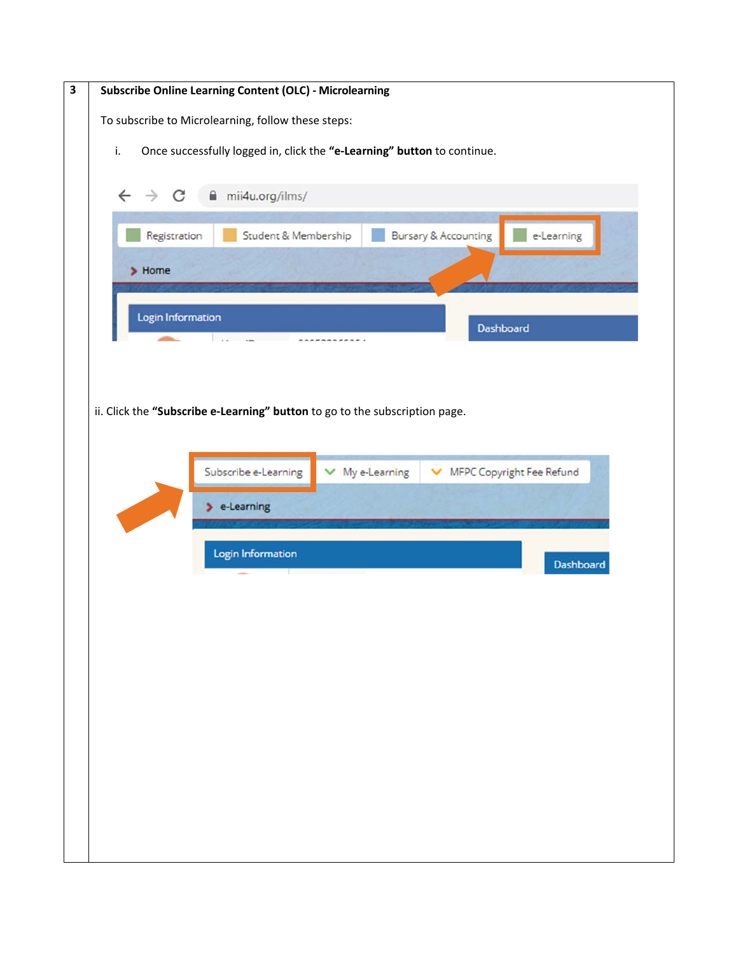| $\overline{\mathbf{3}}$ | <b>Subscribe Online Learning Content (OLC) - Microlearning</b>                |  |  |  |  |  |
|-------------------------|-------------------------------------------------------------------------------|--|--|--|--|--|
|                         | To subscribe to Microlearning, follow these steps:                            |  |  |  |  |  |
|                         | Once successfully logged in, click the "e-Learning" button to continue.<br>i. |  |  |  |  |  |
|                         |                                                                               |  |  |  |  |  |
|                         | $\leftarrow$ $\rightarrow$ C $\land$ mii4u.org/ilms/                          |  |  |  |  |  |
|                         | Bursary & Accounting<br>Student & Membership<br>e-Learning<br>Registration    |  |  |  |  |  |
|                         | $\blacktriangleright$ Home                                                    |  |  |  |  |  |
|                         |                                                                               |  |  |  |  |  |
|                         | Login Information<br>Dashboard                                                |  |  |  |  |  |
|                         | $\sim$ $\sim$ $\sim$ $\sim$ $\sim$ $\sim$                                     |  |  |  |  |  |
|                         |                                                                               |  |  |  |  |  |
|                         | ii. Click the "Subscribe e-Learning" button to go to the subscription page.   |  |  |  |  |  |
|                         |                                                                               |  |  |  |  |  |
|                         | Subscribe e-Learning<br>MFPC Copyright Fee Refund<br>$\times$ My e-Learning   |  |  |  |  |  |
|                         |                                                                               |  |  |  |  |  |
|                         | $\blacktriangleright$ e-Learning                                              |  |  |  |  |  |
|                         | Login Information                                                             |  |  |  |  |  |
|                         | Dashboard                                                                     |  |  |  |  |  |
|                         |                                                                               |  |  |  |  |  |
|                         |                                                                               |  |  |  |  |  |
|                         |                                                                               |  |  |  |  |  |
|                         |                                                                               |  |  |  |  |  |
|                         |                                                                               |  |  |  |  |  |
|                         |                                                                               |  |  |  |  |  |
|                         |                                                                               |  |  |  |  |  |
|                         |                                                                               |  |  |  |  |  |
|                         |                                                                               |  |  |  |  |  |
|                         |                                                                               |  |  |  |  |  |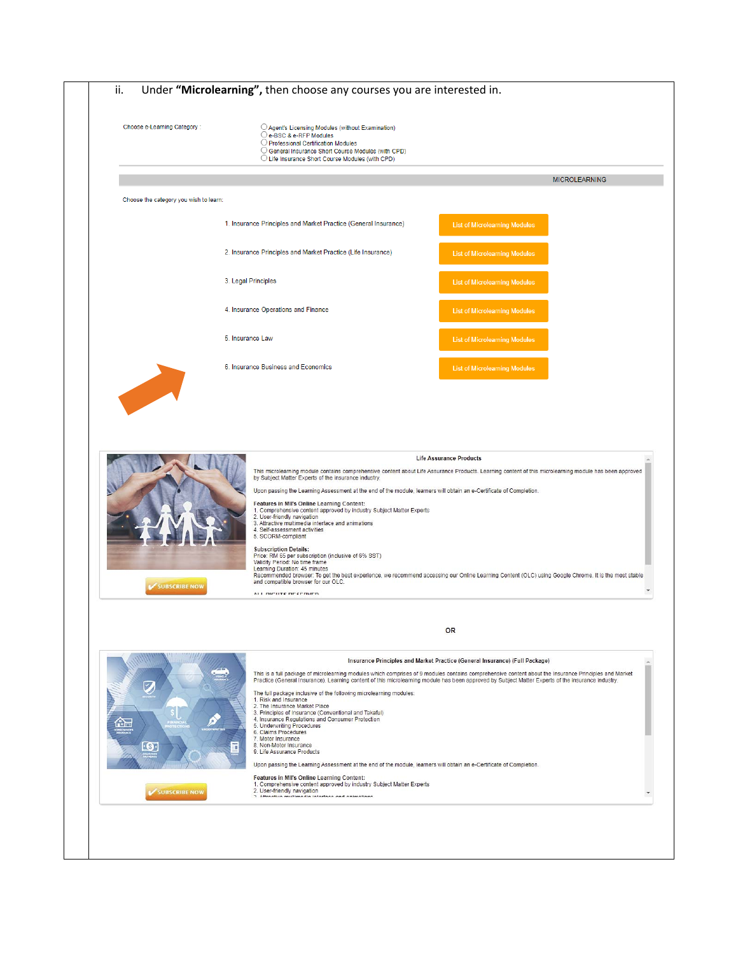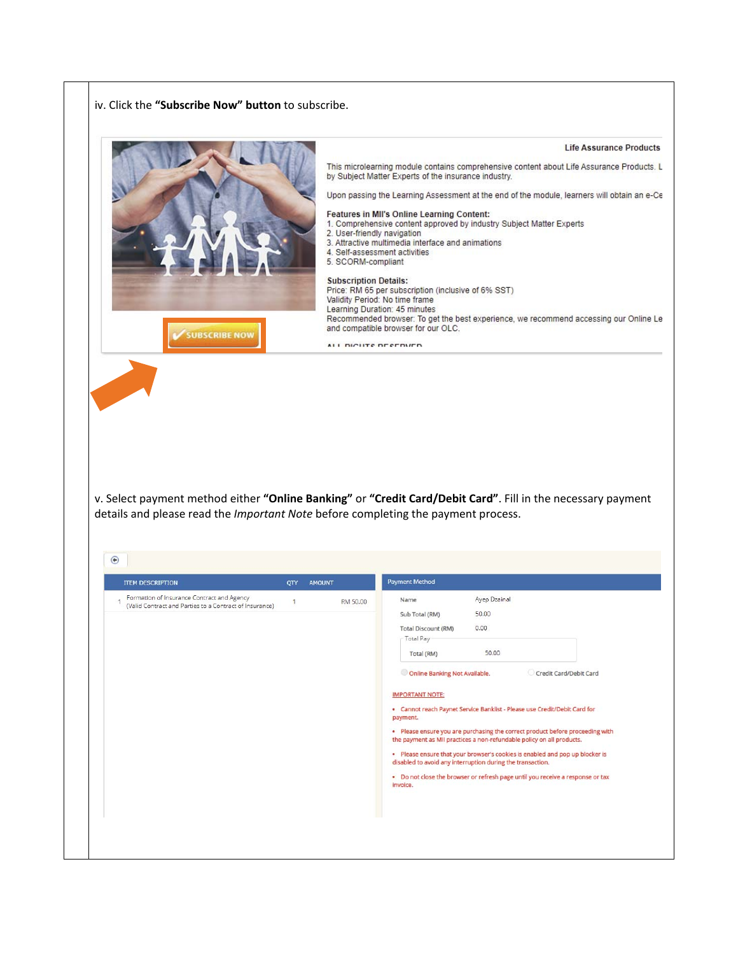iv. Click the **"Subscribe Now" button** to subscribe.



· Please ensure that your browser's cookies is enabled and pop up blocker is disabled to avoid any interruption during the transaction.

. Do not close the browser or refresh page until you receive a response or tax invoice.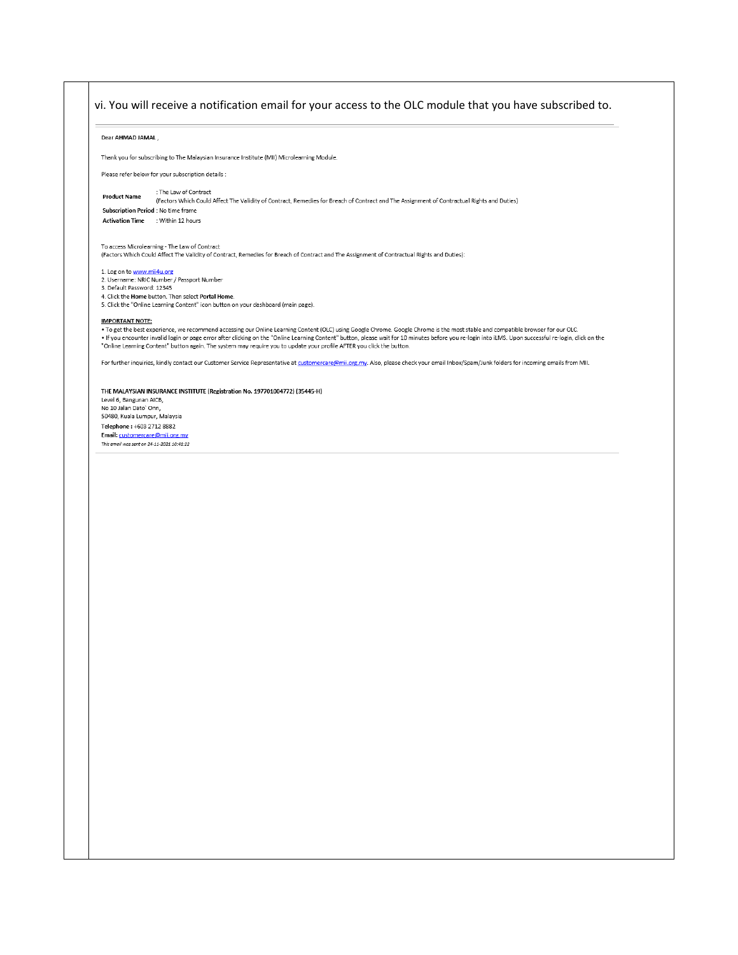## vi. You will receive a notification email for your access to the OLC module that you have subscribed to.Dear AHMAD JAMAL, Thank you for subscribing to The Malaysian Insurance Institute (MII) Microlearning Module. Please refer below for your subscription details : : The Law of Contract **Product Name** (Factors Which Could Affect The Validity of Contract, Remedies for Breach of Contract and The Assignment of Contractual Rights and Duties) Subscription Period : No time frame Activation Time : Within 12 hours To access Microlearning - The Law of Contract (Factors Which Could Affect The Validity of Contract, Remedies for Breach of Contract and The Assignment of Contractual Rights and Duties): 1. Log on to <u>www.mii4u.org</u><br>2. Username: NRIC Number / Passport Number<br>3. Default Password: 12345 4. Click the Home button. Then select Portal Home. 5. Click the "Online Learning Content" icon button on your dashboard (main page). **IMPORTANT NOTE:** • To get the best experience, we recommend accessing our Online Learning Content (OLC) using Google Chrome. Google Chrome is the most stable and compatible browser for our OLC.<br>• If you encounter invalid login or page err "Online Learning Content" button again. The system may require you to update your profile AFTER you click the button. For further inquiries, kindly contact our Customer Service Representative at customercare@mii.org.my. Also, please check your email Inbox/Spam/Junk folders for incoming emails from MII. THE MALAYSIAN INSURANCE INSTITUTE (Registration No. 197701004772) (35445-H) Level 6, Bangunan AICB,<br>No 10 Jalan Dato` Onn, 50480, Kuala Lumpur, Malaysia Telephone: +603 2712 8882 Email: customercare@mii.org.my This email was sent on 24-11-2021 10:41:22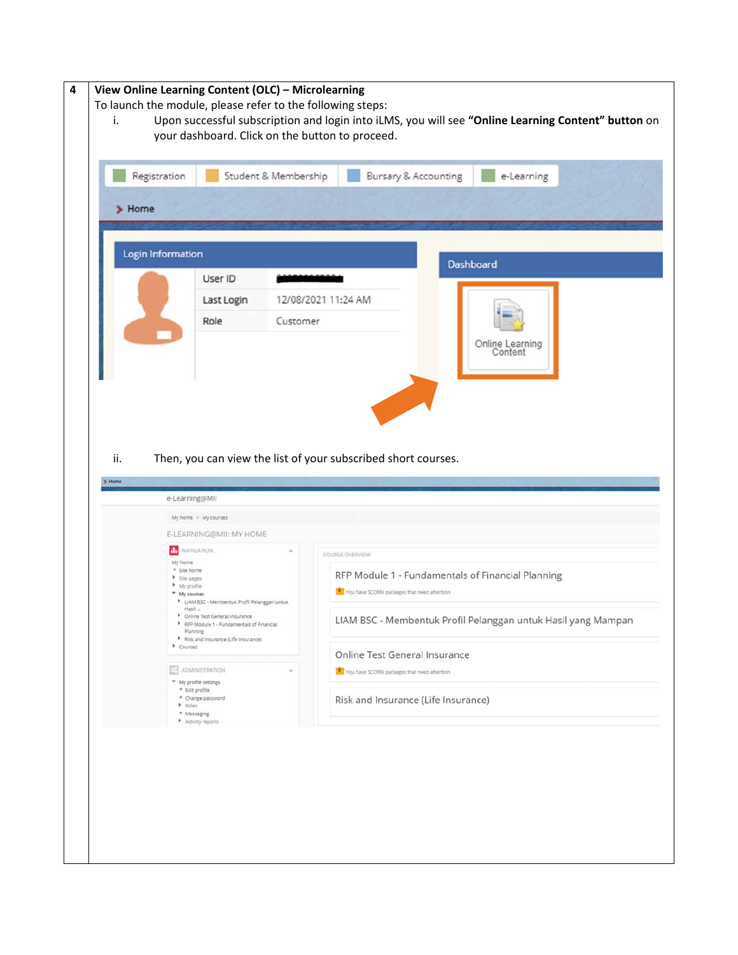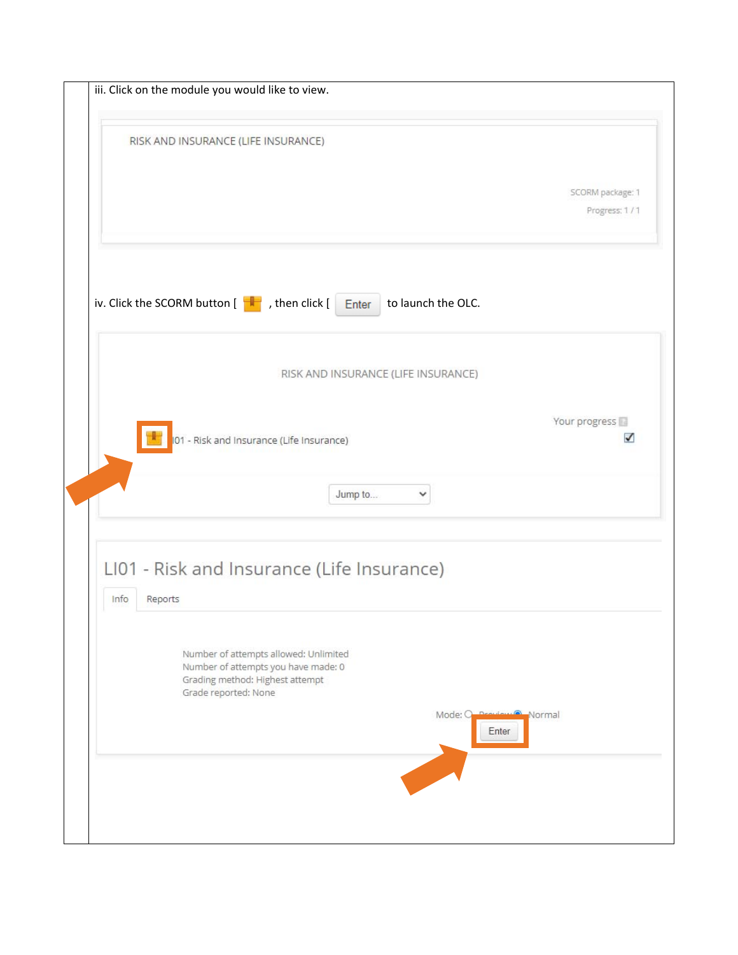| iii. Click on the module you would like to view.                                                                                                                                   |                                        |
|------------------------------------------------------------------------------------------------------------------------------------------------------------------------------------|----------------------------------------|
| RISK AND INSURANCE (LIFE INSURANCE)                                                                                                                                                |                                        |
|                                                                                                                                                                                    | SCORM package: 1                       |
|                                                                                                                                                                                    | Progress: 1/1                          |
|                                                                                                                                                                                    |                                        |
| iv. Click the SCORM button $\begin{bmatrix} \begin{array}{c} \begin{array}{c} \end{array} \\ \end{bmatrix}$ , then click $\begin{bmatrix} \end{array}$ Enter<br>to launch the OLC. |                                        |
| RISK AND INSURANCE (LIFE INSURANCE)                                                                                                                                                |                                        |
|                                                                                                                                                                                    |                                        |
| 101 - Risk and Insurance (Life Insurance)                                                                                                                                          | Your progress<br>$\checkmark$          |
|                                                                                                                                                                                    |                                        |
| Jump to<br>$\checkmark$                                                                                                                                                            |                                        |
|                                                                                                                                                                                    |                                        |
| LI01 - Risk and Insurance (Life Insurance)                                                                                                                                         |                                        |
| Info<br>Reports                                                                                                                                                                    |                                        |
| Number of attempts allowed: Unlimited<br>Number of attempts you have made: 0<br>Grading method: Highest attempt<br>Grade reported: None                                            |                                        |
|                                                                                                                                                                                    | Mode: O<br>Normal<br>$D = 80$<br>Enter |
|                                                                                                                                                                                    |                                        |
|                                                                                                                                                                                    |                                        |